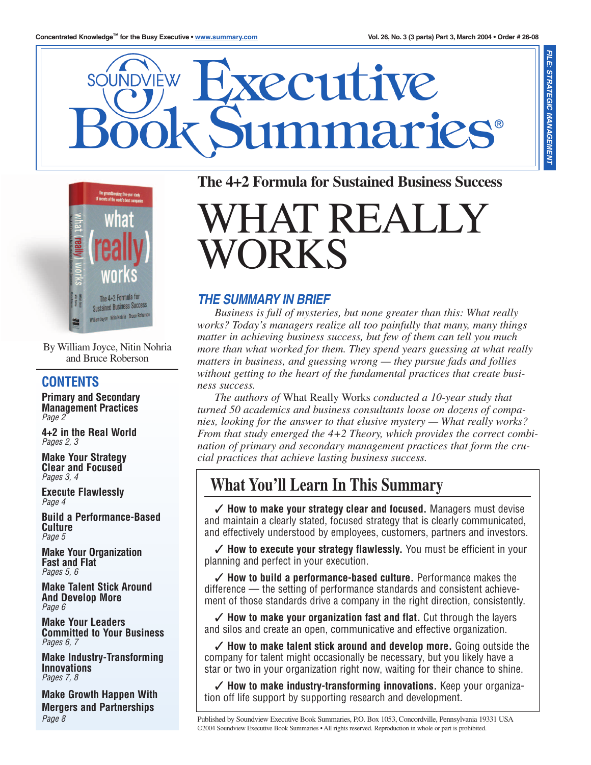



By William Joyce, Nitin Nohria and Bruce Roberson

### **CONTENTS**

**Primary and Secondary Management Practices** *Page 2*

**4+2 in the Real World** *Pages 2, 3*

**Make Your Strategy Clear and Focused** *Pages 3, 4*

**Execute Flawlessly** *Page 4*

**Build a Performance-Based Culture** *Page 5*

**Make Your Organization Fast and Flat** *Pages 5, 6*

**Make Talent Stick Around And Develop More** *Page 6*

**Make Your Leaders Committed to Your Business** *Pages 6, 7*

**Make Industry-Transforming Innovations** *Pages 7, 8*

**Make Growth Happen With Mergers and Partnerships** *Page 8*

## **The 4+2 Formula for Sustained Business Success**

**TREALI** WORKS

### *THE SUMMARY IN BRIEF*

*Business is full of mysteries, but none greater than this: What really works? Today's managers realize all too painfully that many, many things matter in achieving business success, but few of them can tell you much more than what worked for them. They spend years guessing at what really matters in business, and guessing wrong — they pursue fads and follies without getting to the heart of the fundamental practices that create business success.*

*The authors of* What Really Works *conducted a 10-year study that turned 50 academics and business consultants loose on dozens of companies, looking for the answer to that elusive mystery — What really works? From that study emerged the 4+2 Theory, which provides the correct combination of primary and secondary management practices that form the crucial practices that achieve lasting business success.*

# **What You'll Learn In This Summary**

✓ **How to make your strategy clear and focused.** Managers must devise and maintain a clearly stated, focused strategy that is clearly communicated, and effectively understood by employees, customers, partners and investors.

✓ **How to execute your strategy flawlessly.** You must be efficient in your planning and perfect in your execution.

✓ **How to build a performance-based culture.** Performance makes the difference — the setting of performance standards and consistent achievement of those standards drive a company in the right direction, consistently.

✓ **How to make your organization fast and flat.** Cut through the layers and silos and create an open, communicative and effective organization.

✓ **How to make talent stick around and develop more.** Going outside the company for talent might occasionally be necessary, but you likely have a star or two in your organization right now, waiting for their chance to shine.

✓ **How to make industry-transforming innovations.** Keep your organization off life support by supporting research and development.

Published by Soundview Executive Book Summaries, P.O. Box 1053, Concordville, Pennsylvania 19331 USA ©2004 Soundview Executive Book Summaries • All rights reserved. Reproduction in whole or part is prohibited.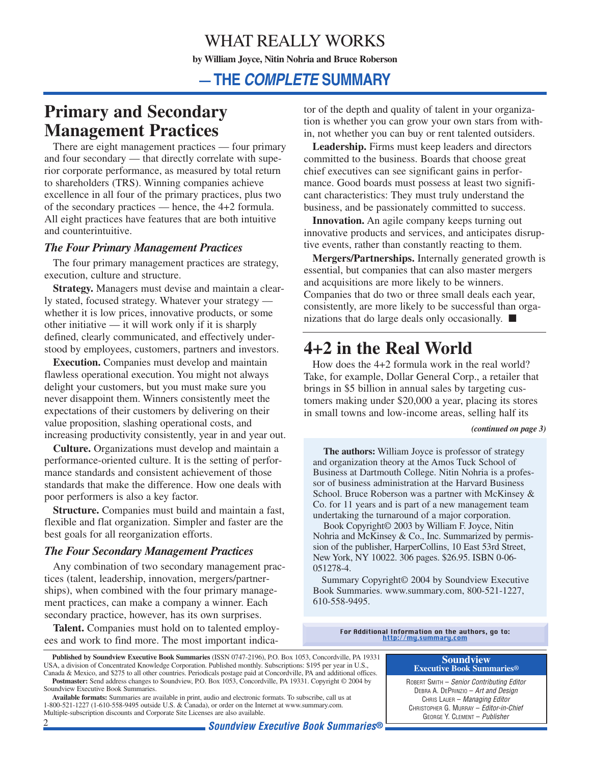# WHAT REALLY WORKS **by William Joyce, Nitin Nohria and Bruce Roberson**

## **— THE** *COMPLETE* **SUMMARY**

## **Primary and Secondary Management Practices**

There are eight management practices — four primary and four secondary — that directly correlate with superior corporate performance, as measured by total return to shareholders (TRS). Winning companies achieve excellence in all four of the primary practices, plus two of the secondary practices — hence, the 4+2 formula. All eight practices have features that are both intuitive and counterintuitive.

### *The Four Primary Management Practices*

The four primary management practices are strategy, execution, culture and structure.

**Strategy.** Managers must devise and maintain a clearly stated, focused strategy. Whatever your strategy whether it is low prices, innovative products, or some other initiative — it will work only if it is sharply defined, clearly communicated, and effectively understood by employees, customers, partners and investors.

**Execution.** Companies must develop and maintain flawless operational execution. You might not always delight your customers, but you must make sure you never disappoint them. Winners consistently meet the expectations of their customers by delivering on their value proposition, slashing operational costs, and increasing productivity consistently, year in and year out.

**Culture.** Organizations must develop and maintain a performance-oriented culture. It is the setting of performance standards and consistent achievement of those standards that make the difference. How one deals with poor performers is also a key factor.

**Structure.** Companies must build and maintain a fast, flexible and flat organization. Simpler and faster are the best goals for all reorganization efforts.

### *The Four Secondary Management Practices*

Any combination of two secondary management practices (talent, leadership, innovation, mergers/partnerships), when combined with the four primary management practices, can make a company a winner. Each secondary practice, however, has its own surprises.

**Talent.** Companies must hold on to talented employees and work to find more. The most important indicator of the depth and quality of talent in your organization is whether you can grow your own stars from within, not whether you can buy or rent talented outsiders.

**Leadership.** Firms must keep leaders and directors committed to the business. Boards that choose great chief executives can see significant gains in performance. Good boards must possess at least two significant characteristics: They must truly understand the business, and be passionately committed to success.

**Innovation.** An agile company keeps turning out innovative products and services, and anticipates disruptive events, rather than constantly reacting to them.

**Mergers/Partnerships.** Internally generated growth is essential, but companies that can also master mergers and acquisitions are more likely to be winners. Companies that do two or three small deals each year, consistently, are more likely to be successful than organizations that do large deals only occasionally. ■

# **4+2 in the Real World**

How does the 4+2 formula work in the real world? Take, for example, Dollar General Corp., a retailer that brings in \$5 billion in annual sales by targeting customers making under \$20,000 a year, placing its stores in small towns and low-income areas, selling half its

*(continued on page 3)*

**The authors:** William Joyce is professor of strategy and organization theory at the Amos Tuck School of Business at Dartmouth College. Nitin Nohria is a professor of business administration at the Harvard Business School. Bruce Roberson was a partner with McKinsey & Co. for 11 years and is part of a new management team undertaking the turnaround of a major corporation.

Book Copyright© 2003 by William F. Joyce, Nitin Nohria and McKinsey & Co., Inc. Summarized by permission of the publisher, HarperCollins, 10 East 53rd Street, New York, NY 10022. 306 pages. \$26.95. ISBN 0-06- 051278-4.

Summary Copyright© 2004 by Soundview Executive Book Summaries. www.summary.com, 800-521-1227, 610-558-9495.

For Additional Information on the authors, go to:<br>[http://my.summary.com](http://www.summary.com/cgi-bin/Soundview.storefront/EN/Catalog/1315?id=1251)

**Soundview Executive Book Summaries®** ROBERT SMITH – *Senior Contributing Editor* DEBRA A. DEPRINZIO – *Art and Design* CHRIS LAUER – *Managing Editor* CHRISTOPHER G. MURRAY – *Editor-in-Chief*

**Published by Soundview Executive Book Summaries** (ISSN 0747-2196), P.O. Box 1053, Concordville, PA 19331 USA, a division of Concentrated Knowledge Corporation. Published monthly. Subscriptions: \$195 per year in U.S., Canada & Mexico, and \$275 to all other countries. Periodicals postage paid at Concordville, PA and additional offices. **Postmaster:** Send address changes to Soundview, P.O. Box 1053, Concordville, PA 19331. Copyright © 2004 by

Soundview Executive Book Summaries. **Available formats:** Summaries are available in print, audio and electronic formats. To subscribe, call us at

<sup>1-800-521-1227 (1-610-558-9495</sup> outside U.S. & Canada), or order on the Internet at www.summary.com. Multiple-subscription discounts and Corporate Site Licenses are also available.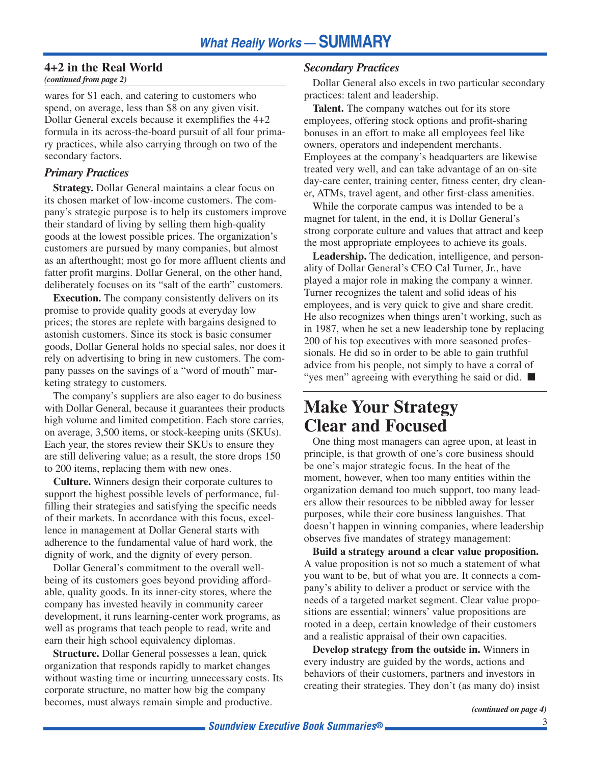### **4+2 in the Real World**

*(continued from page 2)*

wares for \$1 each, and catering to customers who spend, on average, less than \$8 on any given visit. Dollar General excels because it exemplifies the 4+2 formula in its across-the-board pursuit of all four primary practices, while also carrying through on two of the secondary factors.

### *Primary Practices*

**Strategy.** Dollar General maintains a clear focus on its chosen market of low-income customers. The company's strategic purpose is to help its customers improve their standard of living by selling them high-quality goods at the lowest possible prices. The organization's customers are pursued by many companies, but almost as an afterthought; most go for more affluent clients and fatter profit margins. Dollar General, on the other hand, deliberately focuses on its "salt of the earth" customers.

**Execution.** The company consistently delivers on its promise to provide quality goods at everyday low prices; the stores are replete with bargains designed to astonish customers. Since its stock is basic consumer goods, Dollar General holds no special sales, nor does it rely on advertising to bring in new customers. The company passes on the savings of a "word of mouth" marketing strategy to customers.

The company's suppliers are also eager to do business with Dollar General, because it guarantees their products high volume and limited competition. Each store carries, on average, 3,500 items, or stock-keeping units (SKUs). Each year, the stores review their SKUs to ensure they are still delivering value; as a result, the store drops 150 to 200 items, replacing them with new ones.

**Culture.** Winners design their corporate cultures to support the highest possible levels of performance, fulfilling their strategies and satisfying the specific needs of their markets. In accordance with this focus, excellence in management at Dollar General starts with adherence to the fundamental value of hard work, the dignity of work, and the dignity of every person.

Dollar General's commitment to the overall wellbeing of its customers goes beyond providing affordable, quality goods. In its inner-city stores, where the company has invested heavily in community career development, it runs learning-center work programs, as well as programs that teach people to read, write and earn their high school equivalency diplomas.

**Structure.** Dollar General possesses a lean, quick organization that responds rapidly to market changes without wasting time or incurring unnecessary costs. Its corporate structure, no matter how big the company becomes, must always remain simple and productive.

### *Secondary Practices*

Dollar General also excels in two particular secondary practices: talent and leadership.

**Talent.** The company watches out for its store employees, offering stock options and profit-sharing bonuses in an effort to make all employees feel like owners, operators and independent merchants. Employees at the company's headquarters are likewise treated very well, and can take advantage of an on-site day-care center, training center, fitness center, dry cleaner, ATMs, travel agent, and other first-class amenities.

While the corporate campus was intended to be a magnet for talent, in the end, it is Dollar General's strong corporate culture and values that attract and keep the most appropriate employees to achieve its goals.

**Leadership.** The dedication, intelligence, and personality of Dollar General's CEO Cal Turner, Jr., have played a major role in making the company a winner. Turner recognizes the talent and solid ideas of his employees, and is very quick to give and share credit. He also recognizes when things aren't working, such as in 1987, when he set a new leadership tone by replacing 200 of his top executives with more seasoned professionals. He did so in order to be able to gain truthful advice from his people, not simply to have a corral of "yes men" agreeing with everything he said or did. ■

## **Make Your Strategy Clear and Focused**

One thing most managers can agree upon, at least in principle, is that growth of one's core business should be one's major strategic focus. In the heat of the moment, however, when too many entities within the organization demand too much support, too many leaders allow their resources to be nibbled away for lesser purposes, while their core business languishes. That doesn't happen in winning companies, where leadership observes five mandates of strategy management:

**Build a strategy around a clear value proposition.** A value proposition is not so much a statement of what you want to be, but of what you are. It connects a company's ability to deliver a product or service with the needs of a targeted market segment. Clear value propositions are essential; winners' value propositions are rooted in a deep, certain knowledge of their customers and a realistic appraisal of their own capacities.

**Develop strategy from the outside in.** Winners in every industry are guided by the words, actions and behaviors of their customers, partners and investors in creating their strategies. They don't (as many do) insist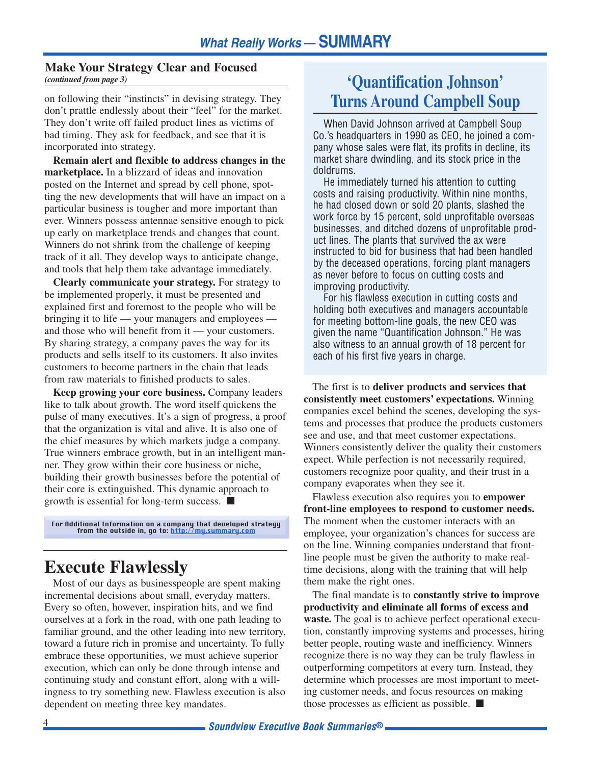#### **Make Your Strategy Clear and Focused** *(continued from page 3)*

on following their "instincts" in devising strategy. They don't prattle endlessly about their "feel" for the market. They don't write off failed product lines as victims of bad timing. They ask for feedback, and see that it is incorporated into strategy.

**Remain alert and flexible to address changes in the marketplace.** In a blizzard of ideas and innovation posted on the Internet and spread by cell phone, spotting the new developments that will have an impact on a particular business is tougher and more important than ever. Winners possess antennae sensitive enough to pick up early on marketplace trends and changes that count. Winners do not shrink from the challenge of keeping track of it all. They develop ways to anticipate change, and tools that help them take advantage immediately.

**Clearly communicate your strategy.** For strategy to be implemented properly, it must be presented and explained first and foremost to the people who will be bringing it to life — your managers and employees and those who will benefit from it — your customers. By sharing strategy, a company paves the way for its products and sells itself to its customers. It also invites customers to become partners in the chain that leads from raw materials to finished products to sales.

**Keep growing your core business.** Company leaders like to talk about growth. The word itself quickens the pulse of many executives. It's a sign of progress, a proof that the organization is vital and alive. It is also one of the chief measures by which markets judge a company. True winners embrace growth, but in an intelligent manner. They grow within their core business or niche, building their growth businesses before the potential of their core is extinguished. This dynamic approach to growth is essential for long-term success. ■

For Additional Information on a company that developed strategy from the outside in, go to: [http://my.summary.com](http://www.summary.com/cgi-bin/Soundview.storefront/EN/Catalog/1315?id=1251)

## **Execute Flawlessly**

Most of our days as businesspeople are spent making incremental decisions about small, everyday matters. Every so often, however, inspiration hits, and we find ourselves at a fork in the road, with one path leading to familiar ground, and the other leading into new territory, toward a future rich in promise and uncertainty. To fully embrace these opportunities, we must achieve superior execution, which can only be done through intense and continuing study and constant effort, along with a willingness to try something new. Flawless execution is also dependent on meeting three key mandates.

## **'Quantification Johnson' Turns Around Campbell Soup**

When David Johnson arrived at Campbell Soup Co.'s headquarters in 1990 as CEO, he joined a company whose sales were flat, its profits in decline, its market share dwindling, and its stock price in the doldrums.

He immediately turned his attention to cutting costs and raising productivity. Within nine months, he had closed down or sold 20 plants, slashed the work force by 15 percent, sold unprofitable overseas businesses, and ditched dozens of unprofitable product lines. The plants that survived the ax were instructed to bid for business that had been handled by the deceased operations, forcing plant managers as never before to focus on cutting costs and improving productivity.

For his flawless execution in cutting costs and holding both executives and managers accountable for meeting bottom-line goals, the new CEO was given the name "Quantification Johnson." He was also witness to an annual growth of 18 percent for each of his first five years in charge.

The first is to **deliver products and services that consistently meet customers' expectations.** Winning companies excel behind the scenes, developing the systems and processes that produce the products customers see and use, and that meet customer expectations. Winners consistently deliver the quality their customers expect. While perfection is not necessarily required, customers recognize poor quality, and their trust in a company evaporates when they see it.

Flawless execution also requires you to **empower front-line employees to respond to customer needs.** The moment when the customer interacts with an employee, your organization's chances for success are on the line. Winning companies understand that frontline people must be given the authority to make realtime decisions, along with the training that will help them make the right ones.

The final mandate is to **constantly strive to improve productivity and eliminate all forms of excess and waste.** The goal is to achieve perfect operational execution, constantly improving systems and processes, hiring better people, routing waste and inefficiency. Winners recognize there is no way they can be truly flawless in outperforming competitors at every turn. Instead, they determine which processes are most important to meeting customer needs, and focus resources on making those processes as efficient as possible. ■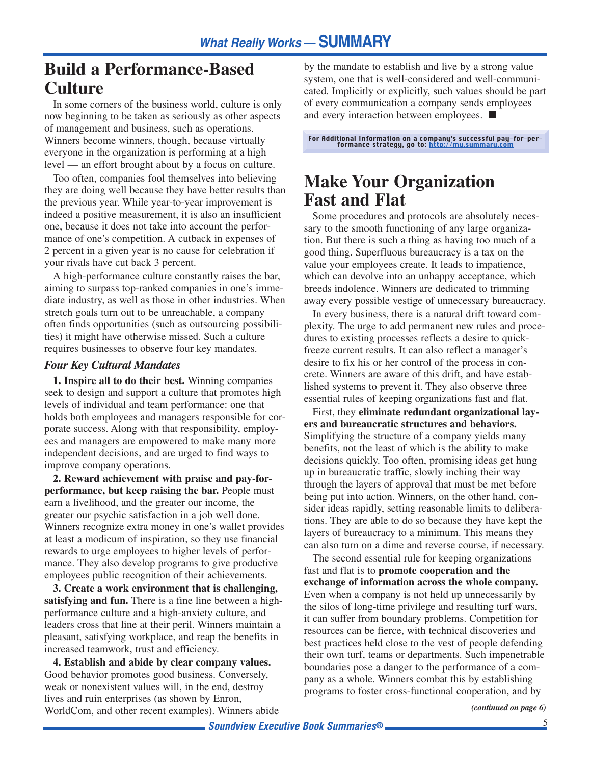## **Build a Performance-Based Culture**

In some corners of the business world, culture is only now beginning to be taken as seriously as other aspects of management and business, such as operations. Winners become winners, though, because virtually everyone in the organization is performing at a high level — an effort brought about by a focus on culture.

Too often, companies fool themselves into believing they are doing well because they have better results than the previous year. While year-to-year improvement is indeed a positive measurement, it is also an insufficient one, because it does not take into account the performance of one's competition. A cutback in expenses of 2 percent in a given year is no cause for celebration if your rivals have cut back 3 percent.

A high-performance culture constantly raises the bar, aiming to surpass top-ranked companies in one's immediate industry, as well as those in other industries. When stretch goals turn out to be unreachable, a company often finds opportunities (such as outsourcing possibilities) it might have otherwise missed. Such a culture requires businesses to observe four key mandates.

### *Four Key Cultural Mandates*

**1. Inspire all to do their best.** Winning companies seek to design and support a culture that promotes high levels of individual and team performance: one that holds both employees and managers responsible for corporate success. Along with that responsibility, employees and managers are empowered to make many more independent decisions, and are urged to find ways to improve company operations.

**2. Reward achievement with praise and pay-forperformance, but keep raising the bar.** People must earn a livelihood, and the greater our income, the greater our psychic satisfaction in a job well done. Winners recognize extra money in one's wallet provides at least a modicum of inspiration, so they use financial rewards to urge employees to higher levels of performance. They also develop programs to give productive employees public recognition of their achievements.

**3. Create a work environment that is challenging, satisfying and fun.** There is a fine line between a highperformance culture and a high-anxiety culture, and leaders cross that line at their peril. Winners maintain a pleasant, satisfying workplace, and reap the benefits in increased teamwork, trust and efficiency.

**4. Establish and abide by clear company values.** Good behavior promotes good business. Conversely, weak or nonexistent values will, in the end, destroy lives and ruin enterprises (as shown by Enron, WorldCom, and other recent examples). Winners abide by the mandate to establish and live by a strong value system, one that is well-considered and well-communicated. Implicitly or explicitly, such values should be part of every communication a company sends employees and every interaction between employees. ■

For Additional Information on a company's successful pay-for-per-formance strategy, go to: [http://my.summary.com](http://www.summary.com/cgi-bin/Soundview.storefront/EN/Catalog/1315?id=1251)

## **Make Your Organization Fast and Flat**

Some procedures and protocols are absolutely necessary to the smooth functioning of any large organization. But there is such a thing as having too much of a good thing. Superfluous bureaucracy is a tax on the value your employees create. It leads to impatience, which can devolve into an unhappy acceptance, which breeds indolence. Winners are dedicated to trimming away every possible vestige of unnecessary bureaucracy.

In every business, there is a natural drift toward complexity. The urge to add permanent new rules and procedures to existing processes reflects a desire to quickfreeze current results. It can also reflect a manager's desire to fix his or her control of the process in concrete. Winners are aware of this drift, and have established systems to prevent it. They also observe three essential rules of keeping organizations fast and flat.

First, they **eliminate redundant organizational layers and bureaucratic structures and behaviors.** Simplifying the structure of a company yields many benefits, not the least of which is the ability to make decisions quickly. Too often, promising ideas get hung up in bureaucratic traffic, slowly inching their way through the layers of approval that must be met before being put into action. Winners, on the other hand, consider ideas rapidly, setting reasonable limits to deliberations. They are able to do so because they have kept the layers of bureaucracy to a minimum. This means they can also turn on a dime and reverse course, if necessary.

The second essential rule for keeping organizations fast and flat is to **promote cooperation and the exchange of information across the whole company.** Even when a company is not held up unnecessarily by the silos of long-time privilege and resulting turf wars, it can suffer from boundary problems. Competition for resources can be fierce, with technical discoveries and best practices held close to the vest of people defending their own turf, teams or departments. Such impenetrable boundaries pose a danger to the performance of a company as a whole. Winners combat this by establishing programs to foster cross-functional cooperation, and by

*(continued on page 6)*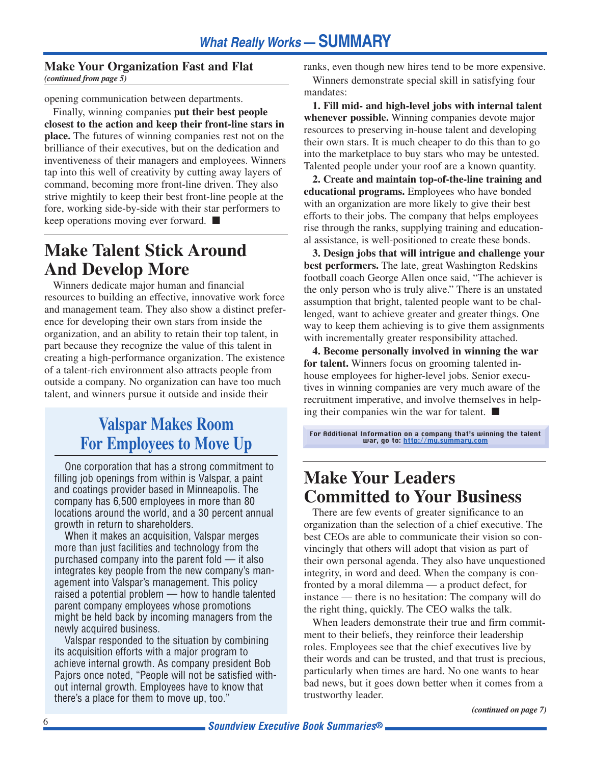#### **Make Your Organization Fast and Flat** *(continued from page 5)*

opening communication between departments.

Finally, winning companies **put their best people closest to the action and keep their front-line stars in place.** The futures of winning companies rest not on the brilliance of their executives, but on the dedication and inventiveness of their managers and employees. Winners tap into this well of creativity by cutting away layers of command, becoming more front-line driven. They also strive mightily to keep their best front-line people at the fore, working side-by-side with their star performers to keep operations moving ever forward. ■

## **Make Talent Stick Around And Develop More**

Winners dedicate major human and financial resources to building an effective, innovative work force and management team. They also show a distinct preference for developing their own stars from inside the organization, and an ability to retain their top talent, in part because they recognize the value of this talent in creating a high-performance organization. The existence of a talent-rich environment also attracts people from outside a company. No organization can have too much talent, and winners pursue it outside and inside their

# **Valspar Makes Room For Employees to Move Up**

One corporation that has a strong commitment to filling job openings from within is Valspar, a paint and coatings provider based in Minneapolis. The company has 6,500 employees in more than 80 locations around the world, and a 30 percent annual growth in return to shareholders.

When it makes an acquisition, Valspar merges more than just facilities and technology from the purchased company into the parent fold — it also integrates key people from the new company's management into Valspar's management. This policy raised a potential problem — how to handle talented parent company employees whose promotions might be held back by incoming managers from the newly acquired business.

Valspar responded to the situation by combining its acquisition efforts with a major program to achieve internal growth. As company president Bob Pajors once noted, "People will not be satisfied without internal growth. Employees have to know that there's a place for them to move up, too."

ranks, even though new hires tend to be more expensive. Winners demonstrate special skill in satisfying four mandates:

**1. Fill mid- and high-level jobs with internal talent whenever possible.** Winning companies devote major resources to preserving in-house talent and developing their own stars. It is much cheaper to do this than to go into the marketplace to buy stars who may be untested. Talented people under your roof are a known quantity.

**2. Create and maintain top-of-the-line training and educational programs.** Employees who have bonded with an organization are more likely to give their best efforts to their jobs. The company that helps employees rise through the ranks, supplying training and educational assistance, is well-positioned to create these bonds.

**3. Design jobs that will intrigue and challenge your best performers.** The late, great Washington Redskins football coach George Allen once said, "The achiever is the only person who is truly alive." There is an unstated assumption that bright, talented people want to be challenged, want to achieve greater and greater things. One way to keep them achieving is to give them assignments with incrementally greater responsibility attached.

**4. Become personally involved in winning the war for talent.** Winners focus on grooming talented inhouse employees for higher-level jobs. Senior executives in winning companies are very much aware of the recruitment imperative, and involve themselves in helping their companies win the war for talent. ■

For Additional Information on a company that's winning the talent war, go to: [http://my.summary.com](http://www.summary.com/cgi-bin/Soundview.storefront/EN/Catalog/1315?id=1251)

## **Make Your Leaders Committed to Your Business**

There are few events of greater significance to an organization than the selection of a chief executive. The best CEOs are able to communicate their vision so convincingly that others will adopt that vision as part of their own personal agenda. They also have unquestioned integrity, in word and deed. When the company is confronted by a moral dilemma — a product defect, for instance — there is no hesitation: The company will do the right thing, quickly. The CEO walks the talk.

When leaders demonstrate their true and firm commitment to their beliefs, they reinforce their leadership roles. Employees see that the chief executives live by their words and can be trusted, and that trust is precious, particularly when times are hard. No one wants to hear bad news, but it goes down better when it comes from a trustworthy leader.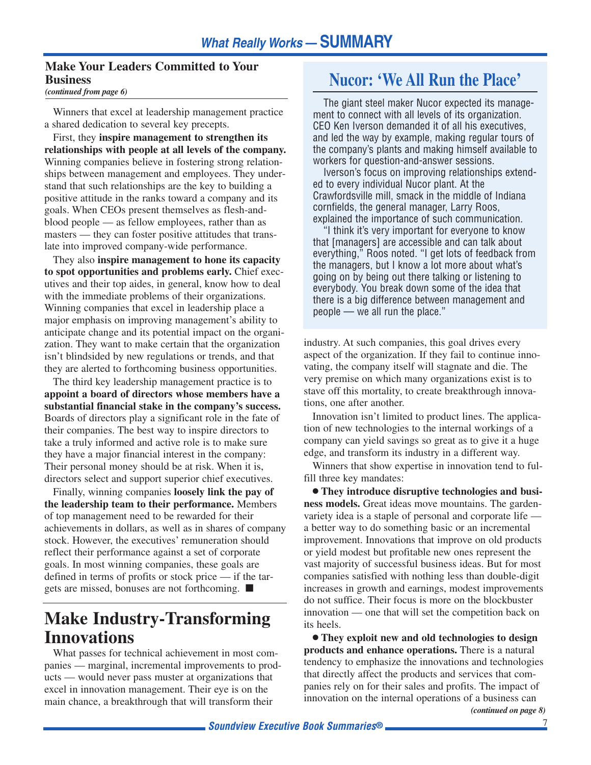## **Make Your Leaders Committed to Your Business**

*(continued from page 6)*

Winners that excel at leadership management practice a shared dedication to several key precepts.

First, they **inspire management to strengthen its relationships with people at all levels of the company.** Winning companies believe in fostering strong relationships between management and employees. They understand that such relationships are the key to building a positive attitude in the ranks toward a company and its goals. When CEOs present themselves as flesh-andblood people — as fellow employees, rather than as masters — they can foster positive attitudes that translate into improved company-wide performance.

They also **inspire management to hone its capacity to spot opportunities and problems early.** Chief executives and their top aides, in general, know how to deal with the immediate problems of their organizations. Winning companies that excel in leadership place a major emphasis on improving management's ability to anticipate change and its potential impact on the organization. They want to make certain that the organization isn't blindsided by new regulations or trends, and that they are alerted to forthcoming business opportunities.

The third key leadership management practice is to **appoint a board of directors whose members have a substantial financial stake in the company's success.** Boards of directors play a significant role in the fate of their companies. The best way to inspire directors to take a truly informed and active role is to make sure they have a major financial interest in the company: Their personal money should be at risk. When it is, directors select and support superior chief executives.

Finally, winning companies **loosely link the pay of the leadership team to their performance.** Members of top management need to be rewarded for their achievements in dollars, as well as in shares of company stock. However, the executives' remuneration should reflect their performance against a set of corporate goals. In most winning companies, these goals are defined in terms of profits or stock price — if the targets are missed, bonuses are not forthcoming. ■

## **Make Industry-Transforming Innovations**

What passes for technical achievement in most companies — marginal, incremental improvements to products — would never pass muster at organizations that excel in innovation management. Their eye is on the main chance, a breakthrough that will transform their

## **Nucor: 'We All Run the Place'**

The giant steel maker Nucor expected its management to connect with all levels of its organization. CEO Ken Iverson demanded it of all his executives, and led the way by example, making regular tours of the company's plants and making himself available to workers for question-and-answer sessions.

Iverson's focus on improving relationships extended to every individual Nucor plant. At the Crawfordsville mill, smack in the middle of Indiana cornfields, the general manager, Larry Roos, explained the importance of such communication.

"I think it's very important for everyone to know that [managers] are accessible and can talk about everything," Roos noted. "I get lots of feedback from the managers, but I know a lot more about what's going on by being out there talking or listening to everybody. You break down some of the idea that there is a big difference between management and people — we all run the place."

industry. At such companies, this goal drives every aspect of the organization. If they fail to continue innovating, the company itself will stagnate and die. The very premise on which many organizations exist is to stave off this mortality, to create breakthrough innovations, one after another.

Innovation isn't limited to product lines. The application of new technologies to the internal workings of a company can yield savings so great as to give it a huge edge, and transform its industry in a different way.

Winners that show expertise in innovation tend to fulfill three key mandates:

● **They introduce disruptive technologies and business models.** Great ideas move mountains. The gardenvariety idea is a staple of personal and corporate life a better way to do something basic or an incremental improvement. Innovations that improve on old products or yield modest but profitable new ones represent the vast majority of successful business ideas. But for most companies satisfied with nothing less than double-digit increases in growth and earnings, modest improvements do not suffice. Their focus is more on the blockbuster innovation — one that will set the competition back on its heels.

● **They exploit new and old technologies to design products and enhance operations.** There is a natural tendency to emphasize the innovations and technologies that directly affect the products and services that companies rely on for their sales and profits. The impact of innovation on the internal operations of a business can *(continued on page 8)*